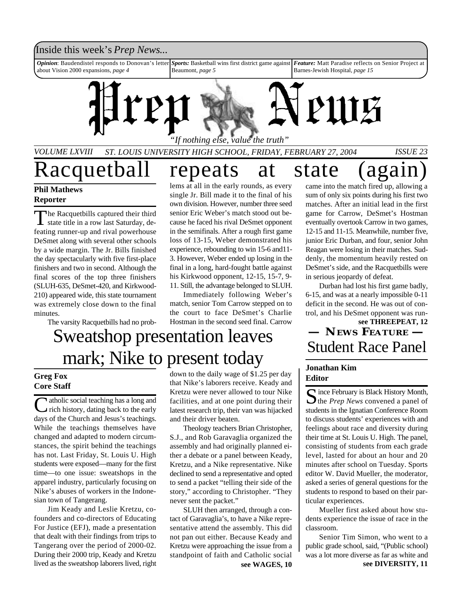#### Inside this week's *Prep News*...

*Opinion*: Baudendistel responds to Donovan's letter about Vision 2000 expansions, *page 4 Sports:* Basketball wins first district game against Beaumont, *page 5 Feature:* Matt Paradise reflects on Senior Project at Barnes-Jewish Hospital, *page 15*



*VOLUME LXVIII ST. LOUIS UNIVERSITY HIGH SCHOOL, FRIDAY, FEBRUARY 27, 2004 ISSUE 23*

Racquetball repeats at state (again)

#### **Phil Mathews Reporter**

T he Racquetbills captured their third state title in a row last Saturday, defeating runner-up and rival powerhouse DeSmet along with several other schools by a wide margin. The Jr. Bills finished the day spectacularly with five first-place finishers and two in second. Although the final scores of the top three finishers (SLUH-635, DeSmet-420, and Kirkwood-210) appeared wide, this state tournament was extremely close down to the final minutes.

The varsity Racquetbills had no prob-

lems at all in the early rounds, as every single Jr. Bill made it to the final of his own division. However, number three seed senior Eric Weber's match stood out because he faced his rival DeSmet opponent in the semifinals. After a rough first game loss of 13-15, Weber demonstrated his experience, rebounding to win 15-6 and11- 3. However, Weber ended up losing in the final in a long, hard-fought battle against his Kirkwood opponent, 12-15, 15-7, 9- 11. Still, the advantage belonged to SLUH.

Immediately following Weber's match, senior Tom Carrow stepped on to the court to face DeSmet's Charlie Hostman in the second seed final. Carrow

## Sweatshop presentation leaves mark; Nike to present today  $\frac{\text{Student Race Panel}}{\frac{1}{1 + \frac{1}{1 + \frac{1}{1 + \frac{1}{1 + \frac{1}{1 + \frac{1}{1 + \frac{1}{1 + \frac{1}{1 + \frac{1}{1 + \frac{1}{1 + \frac{1}{1 + \frac{1}{1 + \frac{1}{1 + \frac{1}{1 + \frac{1}{1 + \frac{1}{1 + \frac{1}{1 + \frac{1}{1 + \frac{1}{1 + \frac{1}{1 + \frac{1}{1 + \frac{1}{1 + \frac{1}{1 + \frac{1}{1 + \frac{1}{1 + \frac{1}{1 + \$

#### **Greg Fox Core Staff**

Catholic social teaching has a long and<br>
rich history, dating back to the early atholic social teaching has a long and days of the Church and Jesus's teachings. While the teachings themselves have changed and adapted to modern circumstances, the spirit behind the teachings has not. Last Friday, St. Louis U. High students were exposed—many for the first time—to one issue: sweatshops in the apparel industry, particularly focusing on Nike's abuses of workers in the Indonesian town of Tangerang.

Jim Keady and Leslie Kretzu, cofounders and co-directors of Educating For Justice (EFJ), made a presentation that dealt with their findings from trips to Tangerang over the period of 2000-02. During their 2000 trip, Keady and Kretzu lived as the sweatshop laborers lived, right

down to the daily wage of \$1.25 per day that Nike's laborers receive. Keady and Kretzu were never allowed to tour Nike facilities, and at one point during their latest research trip, their van was hijacked and their driver beaten.

Theology teachers Brian Christopher, S.J., and Rob Garavaglia organized the assembly and had originally planned either a debate or a panel between Keady, Kretzu, and a Nike representative. Nike declined to send a representative and opted to send a packet "telling their side of the story," according to Christopher. "They never sent the packet."

SLUH then arranged, through a contact of Garavaglia's, to have a Nike representative attend the assembly. This did not pan out either. Because Keady and Kretzu were approaching the issue from a standpoint of faith and Catholic social

came into the match fired up, allowing a sum of only six points during his first two matches. After an initial lead in the first game for Carrow, DeSmet's Hostman eventually overtook Carrow in two games, 12-15 and 11-15. Meanwhile, number five, junior Eric Durban, and four, senior John Reagan were losing in their matches. Suddenly, the momentum heavily rested on DeSmet's side, and the Racquetbills were in serious jeopardy of defeat.

Durban had lost his first game badly, 6-15, and was at a nearly impossible 0-11 deficit in the second. He was out of control, and his DeSmet opponent was run-

## **see THREEPEAT, 12 — NEWS FEATURE —**

#### **Jonathan Kim Editor**

Since February is Black History Month,<br>the *Prep News* convened a panel of  $\bigcap$  ince February is Black History Month, students in the Ignatian Conference Room to discuss students' experiences with and feelings about race and diversity during their time at St. Louis U. High. The panel, consisting of students from each grade level, lasted for about an hour and 20 minutes after school on Tuesday. Sports editor W. David Mueller, the moderator, asked a series of general questions for the students to respond to based on their particular experiences.

Mueller first asked about how students experience the issue of race in the classroom.

**see WAGES, 10 see DIVERSITY, 11** Senior Tim Simon, who went to a public grade school, said, "(Public school) was a lot more diverse as far as white and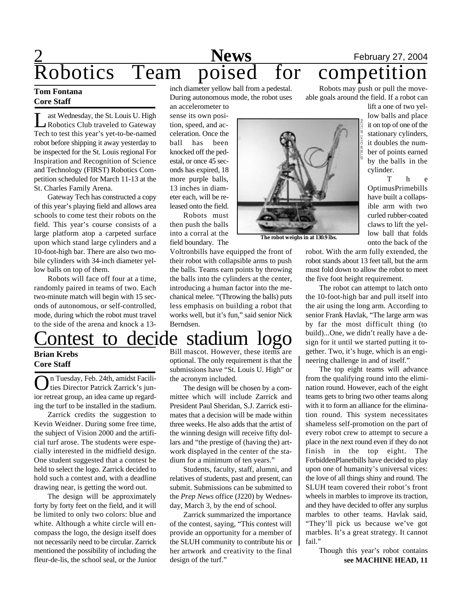## 2 **News** February 27, 2004 **Robotics Team poised for competition**

#### **Tom Fontana Core Staff**

**Let a** Robotics Club traveled to Gateway ast Wednesday, the St. Louis U. High Tech to test this year's yet-to-be-named robot before shipping it away yesterday to be inspected for the St. Louis regional For Inspiration and Recognition of Science and Technology (FIRST) Robotics Competition scheduled for March 11-13 at the St. Charles Family Arena.

Gateway Tech has constructed a copy of this year's playing field and allows area schools to come test their robots on the field. This year's course consists of a large platform atop a carpeted surface upon which stand large cylinders and a 10-foot-high bar. There are also two mobile cylinders with 34-inch diameter yellow balls on top of them.

Robots will face off four at a time, randomly paired in teams of two. Each two-minute match will begin with 15 seconds of autonomous, or self-controlled, mode, during which the robot must travel to the side of the arena and knock a 13-

inch diameter yellow ball from a pedestal. During autonomous mode, the robot uses an accelerometer to

sense its own position, speed, and acceleration. Once the ball has been knocked off the pedestal, or once 45 seconds has expired, 18 more purple balls, 13 inches in diameter each, will be released onto the field.

Robots must then push the balls into a corral at the field boundary. The

Voltronbills have equipped the front of their robot with collapsible arms to push the balls. Teams earn points by throwing the balls into the cylinders at the center, introducing a human factor into the mechanical melee. "(Throwing the balls) puts less emphasis on building a robot that works well, but it's fun," said senior Nick Berndsen.

Bill mascot. However, these items are optional. The only requirement is that the submissions have "St. Louis U. High" or the acronym included.

The design will be chosen by a committee which will include Zarrick and President Paul Sheridan, S.J. Zarrick estimates that a decision will be made within three weeks. He also adds that the artist of the winning design will receive fifty dollars and "the prestige of (having the) artwork displayed in the center of the stadium for a minimum of ten years."

Students, faculty, staff, alumni, and relatives of students, past and present, can submit. Submissions can be submitted to the *Prep News* office (J220) by Wednesday, March 3, by the end of school.

Zarrick summarized the importance of the contest, saying, "This contest will provide an opportunity for a member of the SLUH community to contribute his or her artwork and creativity to the final design of the turf."

Robots may push or pull the moveable goals around the field. If a robot can

> lift a one of two yellow balls and place it on top of one of the stationary cylinders, it doubles the number of points earned by the balls in the cylinder.

h e OptimusPrimebills have built a collapsible arm with two curled rubber-coated claws to lift the yellow ball that folds onto the back of the

robot. With the arm fully extended, the robot stands about 13 feet tall, but the arm must fold down to allow the robot to meet the five foot height requirement.

The robot can attempt to latch onto the 10-foot-high bar and pull itself into the air using the long arm. According to senior Frank Havlak, "The large arm was by far the most difficult thing (to build)...One, we didn't really have a design for it until we started putting it together. Two, it's huge, which is an engineering challenge in and of itself."

The top eight teams will advance from the qualifying round into the elimination round. However, each of the eight teams gets to bring two other teams along with it to form an alliance for the elimination round. This system necessitates shameless self-promotion on the part of every robot crew to attempt to secure a place in the next round even if they do not finish in the top eight. The ForbiddenPlanetbills have decided to play upon one of humanity's universal vices: the love of all things shiny and round. The SLUH team covered their robot's front wheels in marbles to improve its traction, and they have decided to offer any surplus marbles to other teams. Havlak said, "They'll pick us because we've got marbles. It's a great strategy. It cannot fail."

> **see MACHINE HEAD, 11** Though this year's robot contains

### Contest to decide stadium logo **Brian Krebs**

## **Core Staff**

O n Tuesday, Feb. 24th, amidst Facilities Director Patrick Zarrick's junior retreat group, an idea came up regarding the turf to be installed in the stadium.

Zarrick credits the suggestion to Kevin Weidner. During some free time, the subject of Vision 2000 and the artificial turf arose. The students were especially interested in the midfield design. One student suggested that a contest be held to select the logo. Zarrick decided to hold such a contest and, with a deadline drawing near, is getting the word out.

The design will be approximately forty by forty feet on the field, and it will be limited to only two colors: blue and white. Although a white circle will encompass the logo, the design itself does not necessarily need to be circular. Zarrick mentioned the possibility of including the fleur-de-lis, the school seal, or the Junior





**The robot weighs in at 130.9 lbs.**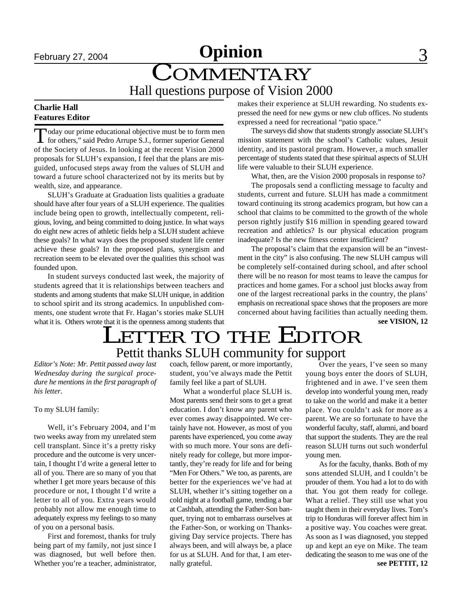## February 27, 2004 **Opinion** 3 COMMENTARY

Hall questions purpose of Vision 2000

#### **Charlie Hall Features Editor**

Today our prime educational objective must be to form men<br>for others," said Pedro Arrupe S.J., former superior General oday our prime educational objective must be to form men of the Society of Jesus. In looking at the recent Vision 2000 proposals for SLUH's expansion, I feel that the plans are misguided, unfocused steps away from the values of SLUH and toward a future school characterized not by its merits but by wealth, size, and appearance.

SLUH's Graduate at Graduation lists qualities a graduate should have after four years of a SLUH experience. The qualities include being open to growth, intellectually competent, religious, loving, and being committed to doing justice. In what ways do eight new acres of athletic fields help a SLUH student achieve these goals? In what ways does the proposed student life center achieve these goals? In the proposed plans, synergism and recreation seem to be elevated over the qualities this school was founded upon.

In student surveys conducted last week, the majority of students agreed that it is relationships between teachers and students and among students that make SLUH unique, in addition to school spirit and its strong academics. In unpublished comments, one student wrote that Fr. Hagan's stories make SLUH what it is. Others wrote that it is the openness among students that makes their experience at SLUH rewarding. No students expressed the need for new gyms or new club offices. No students expressed a need for recreational "patio space."

The surveys did show that students strongly associate SLUH's mission statement with the school's Catholic values, Jesuit identity, and its pastoral program. However, a much smaller percentage of students stated that these spiritual aspects of SLUH life were valuable to their SLUH experience.

What, then, are the Vision 2000 proposals in response to?

The proposals send a conflicting message to faculty and students, current and future. SLUH has made a commitment toward continuing its strong academics program, but how can a school that claims to be committed to the growth of the whole person rightly justify \$16 million in spending geared toward recreation and athletics? Is our physical education program inadequate? Is the new fitness center insufficient?

The proposal's claim that the expansion will be an "investment in the city" is also confusing. The new SLUH campus will be completely self-contained during school, and after school there will be no reason for most teams to leave the campus for practices and home games. For a school just blocks away from one of the largest recreational parks in the country, the plans' emphasis on recreational space shows that the proposers are more concerned about having facilities than actually needing them.

**see VISION, 12**

## Pettit thanks SLUH community for support LETTER TO THE EDITOR

*Editor's Note: Mr. Pettit passed away last Wednesday during the surgical procedure he mentions in the first paragraph of his letter.*

To my SLUH family:

Well, it's February 2004, and I'm two weeks away from my unrelated stem cell transplant. Since it's a pretty risky procedure and the outcome is very uncertain, I thought I'd write a general letter to all of you. There are so many of you that whether I get more years because of this procedure or not, I thought I'd write a letter to all of you. Extra years would probably not allow me enough time to adequately express my feelings to so many of you on a personal basis.

First and foremost, thanks for truly being part of my family, not just since I was diagnosed, but well before then. Whether you're a teacher, administrator,

coach, fellow parent, or more importantly, student, you've always made the Pettit family feel like a part of SLUH.

What a wonderful place SLUH is. Most parents send their sons to get a great education. I don't know any parent who ever comes away disappointed. We certainly have not. However, as most of you parents have experienced, you come away with so much more. Your sons are definitely ready for college, but more importantly, they're ready for life and for being "Men For Others." We too, as parents, are better for the experiences we've had at SLUH, whether it's sitting together on a cold night at a football game, tending a bar at Cashbah, attending the Father-Son banquet, trying not to embarrass ourselves at the Father-Son, or working on Thanksgiving Day service projects. There has always been, and will always be, a place for us at SLUH. And for that, I am eternally grateful.

Over the years, I've seen so many young boys enter the doors of SLUH, frightened and in awe. I've seen them develop into wonderful young men, ready to take on the world and make it a better place. You couldn't ask for more as a parent. We are so fortunate to have the wonderful faculty, staff, alumni, and board that support the students. They are the real reason SLUH turns out such wonderful young men.

**see PETTIT, 12** As for the faculty, thanks. Both of my sons attended SLUH, and I couldn't be prouder of them. You had a lot to do with that. You got them ready for college. What a relief. They still use what you taught them in their everyday lives. Tom's trip to Honduras will forever affect him in a positive way. You coaches were great. As soon as I was diagnosed, you stepped up and kept an eye on Mike. The team dedicating the season to me was one of the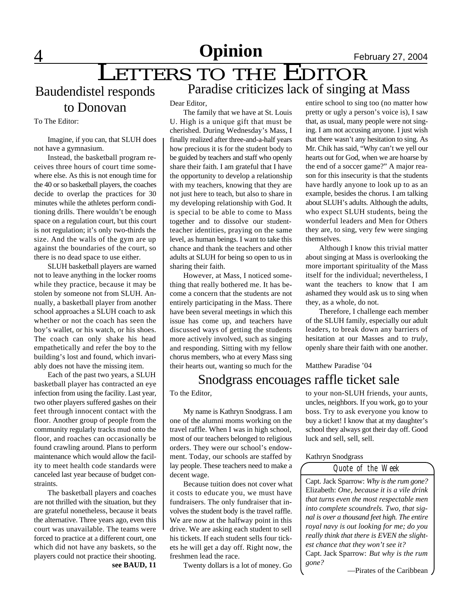## **4** 1 1 1 1 2 2004

## LETTERS TO THE EDITOR Paradise criticizes lack of singing at Mass

Baudendistel responds

to Donovan

To The Editor:

Imagine, if you can, that SLUH does not have a gymnasium.

Instead, the basketball program receives three hours of court time somewhere else. As this is not enough time for the 40 or so basketball players, the coaches decide to overlap the practices for 30 minutes while the athletes perform conditioning drills. There wouldn't be enough space on a regulation court, but this court is not regulation; it's only two-thirds the size. And the walls of the gym are up against the boundaries of the court, so there is no dead space to use either.

SLUH basketball players are warned not to leave anything in the locker rooms while they practice, because it may be stolen by someone not from SLUH. Annually, a basketball player from another school approaches a SLUH coach to ask whether or not the coach has seen the boy's wallet, or his watch, or his shoes. The coach can only shake his head empathetically and refer the boy to the building's lost and found, which invariably does not have the missing item.

Each of the past two years, a SLUH basketball player has contracted an eye infection from using the facility. Last year, two other players suffered gashes on their feet through innocent contact with the floor. Another group of people from the community regularly tracks mud onto the floor, and roaches can occasionally be found crawling around. Plans to perform maintenance which would allow the facility to meet health code standards were canceled last year because of budget constraints.

**see BAUD, 11** The basketball players and coaches are not thrilled with the situation, but they are grateful nonetheless, because it beats the alternative. Three years ago, even this court was unavailable. The teams were forced to practice at a different court, one which did not have any baskets, so the players could not practice their shooting.

Dear Editor,

The family that we have at St. Louis U. High is a unique gift that must be cherished. During Wednesday's Mass, I finally realized after three-and-a-half years how precious it is for the student body to be guided by teachers and staff who openly share their faith. I am grateful that I have the opportunity to develop a relationship with my teachers, knowing that they are not just here to teach, but also to share in my developing relationship with God. It is special to be able to come to Mass together and to dissolve our studentteacher identities, praying on the same level, as human beings. I want to take this chance and thank the teachers and other adults at SLUH for being so open to us in sharing their faith.

However, at Mass, I noticed something that really bothered me. It has become a concern that the students are not entirely participating in the Mass. There have been several meetings in which this issue has come up, and teachers have discussed ways of getting the students more actively involved, such as singing and responding. Sitting with my fellow chorus members, who at every Mass sing their hearts out, wanting so much for the

entire school to sing too (no matter how pretty or ugly a person's voice is), I saw that, as usual, many people were not singing. I am not accusing anyone. I just wish that there wasn't any hesitation to sing. As Mr. Chik has said, "Why can't we yell our hearts out for God, when we are hoarse by the end of a soccer game?" A major reason for this insecurity is that the students have hardly anyone to look up to as an example, besides the chorus. I am talking about SLUH's adults. Although the adults, who expect SLUH students, being the wonderful leaders and Men for Others they are, to sing, very few were singing themselves.

Although I know this trivial matter about singing at Mass is overlooking the more important spirituality of the Mass itself for the individual; nevertheless, I want the teachers to know that I am ashamed they would ask us to sing when they, as a whole, do not.

Therefore, I challenge each member of the SLUH family, especially our adult leaders, to break down any barriers of hesitation at our Masses and to *truly*, openly share their faith with one another.

Matthew Paradise '04

### Snodgrass encouages raffle ticket sale

To the Editor,

My name is Kathryn Snodgrass. I am one of the alumni moms working on the travel raffle. When I was in high school, most of our teachers belonged to religious orders. They were our school's endowment. Today, our schools are staffed by lay people. These teachers need to make a decent wage.

Because tuition does not cover what it costs to educate you, we must have fundraisers. The only fundraiser that involves the student body is the travel raffle. We are now at the halfway point in this drive. We are asking each student to sell his tickets. If each student sells four tickets he will get a day off. Right now, the freshmen lead the race.

Twenty dollars is a lot of money. Go

to your non-SLUH friends, your aunts, uncles, neighbors. If you work, go to your boss. Try to ask everyone you know to buy a ticket! I know that at my daughter's school they always got their day off. Good luck and sell, sell, sell.

#### Kathryn Snodgrass

*Quote of the Week*

Capt. Jack Sparrow: *Why is the rum gone?* Elizabeth: *One, because it is a vile drink that turns even the most respectable men into complete scoundrels. Two, that signal is over a thousand feet high. The entire royal navy is out looking for me; do you really think that there is EVEN the slightest chance that they won't see it?* Capt. Jack Sparrow: *But why is the rum gone?*

—Pirates of the Caribbean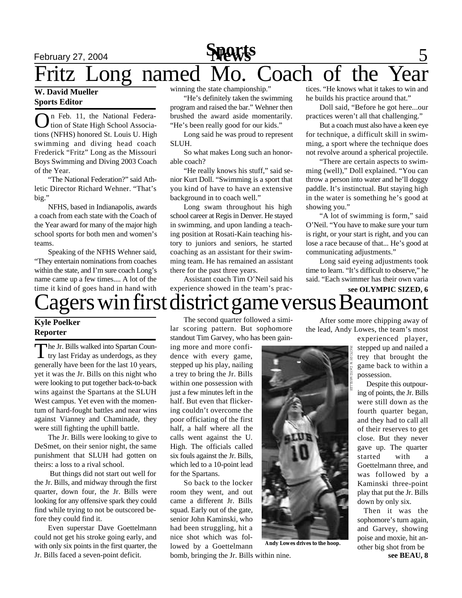## February 27, 2004 **News** 5 Fritz Long named Mo. Coach of the **Sports**

#### **W. David Mueller Sports Editor**

O n Feb. 11, the National Federation of State High School Associations (NFHS) honored St. Louis U. High swimming and diving head coach Frederick "Fritz" Long as the Missouri Boys Swimming and Diving 2003 Coach of the Year.

"The National Federation?" said Athletic Director Richard Wehner. "That's big."

NFHS, based in Indianapolis, awards a coach from each state with the Coach of the Year award for many of the major high school sports for both men and women's teams.

Speaking of the NFHS Wehner said, "They entertain nominations from coaches within the state, and I'm sure coach Long's name came up a few times.... A lot of the time it kind of goes hand in hand with winning the state championship."

"He's definitely taken the swimming program and raised the bar." Wehner then brushed the award aside momentarily. "He's been really good for our kids."

Long said he was proud to represent SLUH.

So what makes Long such an honorable coach?

"He really knows his stuff," said senior Kurt Doll. "Swimming is a sport that you kind of have to have an extensive background in to coach well."

Long swam throughout his high school career at Regis in Denver. He stayed in swimming, and upon landing a teaching position at Rosati-Kain teaching history to juniors and seniors, he started coaching as an assistant for their swimming team. He has remained an assistant there for the past three years.

Assistant coach Tim O'Neil said his experience showed in the team's practices. "He knows what it takes to win and he builds his practice around that."

Doll said, "Before he got here...our practices weren't all that challenging."

But a coach must also have a keen eye for technique, a difficult skill in swimming, a sport where the technique does not revolve around a spherical projectile.

"There are certain aspects to swimming (well)," Doll explained. "You can throw a person into water and he'll doggy paddle. It's instinctual. But staying high in the water is something he's good at showing you."

"A lot of swimming is form," said O'Neil. "You have to make sure your turn is right, or your start is right, and you can lose a race because of that... He's good at communicating adjustments."

Long said eyeing adjustments took time to learn. "It's difficult to observe," he said. "Each swimmer has their own varia

## agers win first district game versus Beaumont **see OLYMPIC SIZED, 6**

#### **Kyle Poelker Reporter**

The Jr. Bills walked into Spartan Coun-<br>try last Friday as underdogs, as they  $\blacksquare$  try last Friday as underdogs, as they generally have been for the last 10 years, yet it was the Jr. Bills on this night who were looking to put together back-to-back wins against the Spartans at the SLUH West campus. Yet even with the momentum of hard-fought battles and near wins against Vianney and Chaminade, they were still fighting the uphill battle.

The Jr. Bills were looking to give to DeSmet, on their senior night, the same punishment that SLUH had gotten on theirs: a loss to a rival school.

 But things did not start out well for the Jr. Bills, and midway through the first quarter, down four, the Jr. Bills were looking for any offensive spark they could find while trying to not be outscored before they could find it.

Even superstar Dave Goettelmann could not get his stroke going early, and with only six points in the first quarter, the Jr. Bills faced a seven-point deficit.

The second quarter followed a similar scoring pattern. But sophomore standout Tim Garvey, who has been gain-

ing more and more confidence with every game, stepped up his play, nailing a trey to bring the Jr. Bills within one possession with just a few minutes left in the half. But even that flickering couldn't overcome the poor officiating of the first half, a half where all the calls went against the U. High. The officials called six fouls against the Jr. Bills, which led to a 10-point lead for the Spartans.

So back to the locker room they went, and out came a different Jr. Bills squad. Early out of the gate, senior John Kaminski, who had been struggling, hit a nice shot which was followed by a Goettelmann

After some more chipping away of the lead, Andy Lowes, the team's most

experienced player, stepped up and nailed a trey that brought the game back to within a possession.

 Despite this outpouring of points, the Jr. Bills were still down as the fourth quarter began, and they had to call all of their reserves to get close. But they never gave up. The quarter started with a Goettelmann three, and was followed by a Kaminski three-point play that put the Jr. Bills down by only six.

**see BEAU, 8** Then it was the sophomore's turn again, and Garvey, showing poise and moxie, hit another big shot from be



**Andy Lowes drives to the hoop.**

bomb, bringing the Jr. Bills within nine.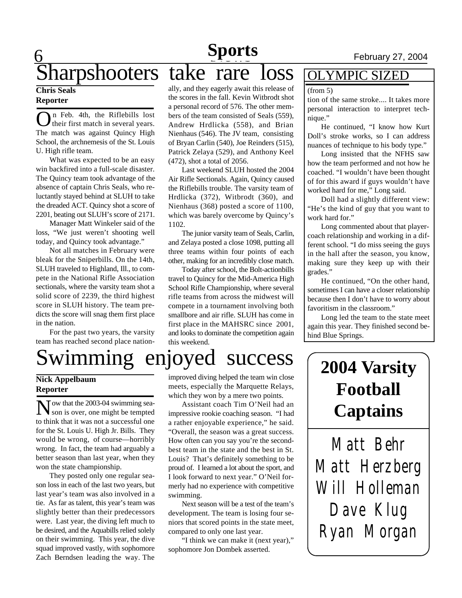## Sharpshooters take rare loss

#### **Chris Seals Reporter**

O n Feb. 4th, the Riflebills lost their first match in several years. The match was against Quincy High School, the archnemesis of the St. Louis U. High rifle team.

What was expected to be an easy win backfired into a full-scale disaster. The Quincy team took advantage of the absence of captain Chris Seals, who reluctantly stayed behind at SLUH to take the dreaded ACT. Quincy shot a score of 2201, beating out SLUH's score of 2171.

Manager Matt Winkeler said of the loss, "We just weren't shooting well today, and Quincy took advantage."

Not all matches in February were bleak for the Sniperbills. On the 14th, SLUH traveled to Highland, Ill., to compete in the National Rifle Association sectionals, where the varsity team shot a solid score of 2239, the third highest score in SLUH history. The team predicts the score will snag them first place in the nation.

For the past two years, the varsity team has reached second place nationally, and they eagerly await this release of the scores in the fall. Kevin Witbrodt shot a personal record of 576. The other members of the team consisted of Seals (559), Andrew Hrdlicka (558), and Brian Nienhaus (546). The JV team, consisting of Bryan Carlin (540), Joe Reinders (515), Patrick Zelaya (529), and Anthony Keel (472), shot a total of 2056.

Last weekend SLUH hosted the 2004 Air Rifle Sectionals. Again, Quincy caused the Riflebills trouble. The varsity team of Hrdlicka (372), Witbrodt (360), and Nienhaus (368) posted a score of 1100, which was barely overcome by Quincy's 1102.

The junior varsity team of Seals, Carlin, and Zelaya posted a close 1098, putting all three teams within four points of each other, making for an incredibly close match.

Today after school, the Bolt-actionbills travel to Quincy for the Mid-America High School Rifle Championship, where several rifle teams from across the midwest will compete in a tournament involving both smallbore and air rifle. SLUH has come in first place in the MAHSRC since 2001, and looks to dominate the competition again this weekend.

### OLYMPIC SIZED

#### (from 5)

tion of the same stroke.... It takes more personal interaction to interpret technique."

He continued, "I know how Kurt Doll's stroke works, so I can address nuances of technique to his body type."

Long insisted that the NFHS saw how the team performed and not how he coached. "I wouldn't have been thought of for this award if guys wouldn't have worked hard for me," Long said.

Doll had a slightly different view: "He's the kind of guy that you want to work hard for."

Long commented about that playercoach relationship and working in a different school. "I do miss seeing the guys in the hall after the season, you know, making sure they keep up with their grades."

He continued, "On the other hand, sometimes I can have a closer relationship because then I don't have to worry about favoritism in the classroom."

Long led the team to the state meet again this year. They finished second behind Blue Springs.

# Swimming enjoyed success

#### **Nick Appelbaum Reporter**

N ow that the 2003-04 swimming sea-<br>Son is over, one might be tempted son is over, one might be tempted to think that it was not a successful one for the St. Louis U. High Jr. Bills. They would be wrong, of course—horribly wrong. In fact, the team had arguably a better season than last year, when they won the state championship.

They posted only one regular season loss in each of the last two years, but last year's team was also involved in a tie. As far as talent, this year's team was slightly better than their predecessors were. Last year, the diving left much to be desired, and the Aquabills relied solely on their swimming. This year, the dive squad improved vastly, with sophomore Zach Berndsen leading the way. The

improved diving helped the team win close meets, especially the Marquette Relays, which they won by a mere two points.

Assistant coach Tim O'Neil had an impressive rookie coaching season. "I had a rather enjoyable experience," he said. "Overall, the season was a great success. How often can you say you're the secondbest team in the state and the best in St. Louis? That's definitely something to be proud of. I learned a lot about the sport, and I look forward to next year." O'Neil formerly had no experience with competitive swimming.

Next season will be a test of the team's development. The team is losing four seniors that scored points in the state meet, compared to only one last year.

"I think we can make it (next year)," sophomore Jon Dombek asserted.

## **2004 Varsity Football Captains**

*Matt Behr Matt Herzberg Will Holleman Dave Klug Ryan Morgan*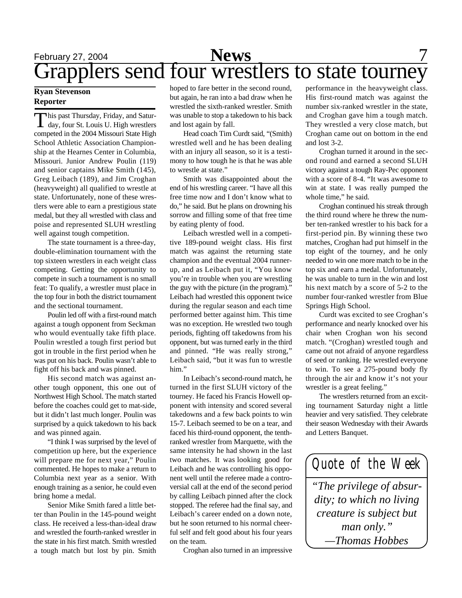## February 27, 2004 **News** 7 Grapplers send four wrestlers to state tourney

#### **Ryan Stevenson Reporter**

 $\prod$ his past Thursday, Friday, and Satur-<br>day, four St. Louis U. High wrestlers his past Thursday, Friday, and Saturcompeted in the 2004 Missouri State High School Athletic Association Championship at the Hearnes Center in Columbia, Missouri. Junior Andrew Poulin (119) and senior captains Mike Smith (145), Greg Leibach (189), and Jim Croghan (heavyweight) all qualified to wrestle at state. Unfortunately, none of these wrestlers were able to earn a prestigious state medal, but they all wrestled with class and poise and represented SLUH wrestling well against tough competition.

The state tournament is a three-day, double-elimination tournament with the top sixteen wrestlers in each weight class competing. Getting the opportunity to compete in such a tournament is no small feat: To qualify, a wrestler must place in the top four in both the district tournament and the sectional tournament.

Poulin led off with a first-round match against a tough opponent from Seckman who would eventually take fifth place. Poulin wrestled a tough first period but got in trouble in the first period when he was put on his back. Poulin wasn't able to fight off his back and was pinned.

His second match was against another tough opponent, this one out of Northwest High School. The match started before the coaches could get to mat-side, but it didn't last much longer. Poulin was surprised by a quick takedown to his back and was pinned again.

"I think I was surprised by the level of competition up here, but the experience will prepare me for next year," Poulin commented. He hopes to make a return to Columbia next year as a senior. With enough training as a senior, he could even bring home a medal.

Senior Mike Smith fared a little better than Poulin in the 145-pound weight class. He received a less-than-ideal draw and wrestled the fourth-ranked wrestler in the state in his first match. Smith wrestled a tough match but lost by pin. Smith

hoped to fare better in the second round, but again, he ran into a bad draw when he wrestled the sixth-ranked wrestler. Smith was unable to stop a takedown to his back and lost again by fall.

Head coach Tim Curdt said, "(Smith) wrestled well and he has been dealing with an injury all season, so it is a testimony to how tough he is that he was able to wrestle at state."

Smith was disappointed about the end of his wrestling career. "I have all this free time now and I don't know what to do," he said. But he plans on drowning his sorrow and filling some of that free time by eating plenty of food.

Leibach wrestled well in a competitive 189-pound weight class. His first match was against the returning state champion and the eventual 2004 runnerup, and as Leibach put it, "You know you're in trouble when you are wrestling the guy with the picture (in the program)." Leibach had wrestled this opponent twice during the regular season and each time performed better against him. This time was no exception. He wrestled two tough periods, fighting off takedowns from his opponent, but was turned early in the third and pinned. "He was really strong," Leibach said, "but it was fun to wrestle him."

In Leibach's second-round match, he turned in the first SLUH victory of the tourney. He faced his Francis Howell opponent with intensity and scored several takedowns and a few back points to win 15-7. Leibach seemed to be on a tear, and faced his third-round opponent, the tenthranked wrestler from Marquette, with the same intensity he had shown in the last two matches. It was looking good for Leibach and he was controlling his opponent well until the referee made a controversial call at the end of the second period by calling Leibach pinned after the clock stopped. The referee had the final say, and Leibach's career ended on a down note, but he soon returned to his normal cheerful self and felt good about his four years on the team.

Croghan also turned in an impressive

performance in the heavyweight class. His first-round match was against the number six-ranked wrestler in the state, and Croghan gave him a tough match. They wrestled a very close match, but Croghan came out on bottom in the end and lost 3-2.

Croghan turned it around in the second round and earned a second SLUH victory against a tough Ray-Pec opponent with a score of 8-4. "It was awesome to win at state. I was really pumped the whole time," he said.

Croghan continued his streak through the third round where he threw the number ten-ranked wrestler to his back for a first-period pin. By winning these two matches, Croghan had put himself in the top eight of the tourney, and he only needed to win one more match to be in the top six and earn a medal. Unfortunately, he was unable to turn in the win and lost his next match by a score of 5-2 to the number four-ranked wrestler from Blue Springs High School.

Curdt was excited to see Croghan's performance and nearly knocked over his chair when Croghan won his second match. "(Croghan) wrestled tough and came out not afraid of anyone regardless of seed or ranking. He wrestled everyone to win. To see a 275-pound body fly through the air and know it's not your wrestler is a great feeling."

The wrestlers returned from an exciting tournament Saturday night a little heavier and very satisfied. They celebrate their season Wednesday with their Awards and Letters Banquet.

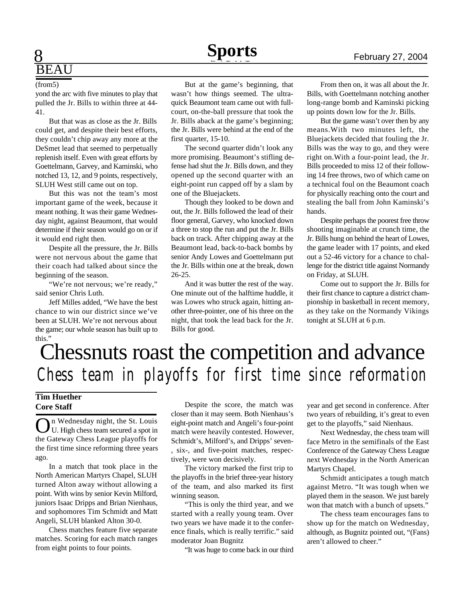# BEAU

#### (from5)

yond the arc with five minutes to play that pulled the Jr. Bills to within three at 44- 41.

But that was as close as the Jr. Bills could get, and despite their best efforts, they couldn't chip away any more at the DeSmet lead that seemed to perpetually replenish itself. Even with great efforts by Goettelmann, Garvey, and Kaminski, who notched 13, 12, and 9 points, respectively, SLUH West still came out on top.

But this was not the team's most important game of the week, because it meant nothing. It was their game Wednesday night, against Beaumont, that would determine if their season would go on or if it would end right then.

Despite all the pressure, the Jr. Bills were not nervous about the game that their coach had talked about since the beginning of the season.

"We're not nervous; we're ready," said senior Chris Luth.

Jeff Milles added, "We have the best chance to win our district since we've been at SLUH. We're not nervous about the game; our whole season has built up to this."

But at the game's beginning, that wasn't how things seemed. The ultraquick Beaumont team came out with fullcourt, on-the-ball pressure that took the Jr. Bills aback at the game's beginning; the Jr. Bills were behind at the end of the first quarter, 15-10.

The second quarter didn't look any more promising. Beaumont's stifling defense had shut the Jr. Bills down, and they opened up the second quarter with an eight-point run capped off by a slam by one of the Bluejackets.

Though they looked to be down and out, the Jr. Bills followed the lead of their floor general, Garvey, who knocked down a three to stop the run and put the Jr. Bills back on track. After chipping away at the Beaumont lead, back-to-back bombs by senior Andy Lowes and Goettelmann put the Jr. Bills within one at the break, down 26-25.

And it was butter the rest of the way. One minute out of the halftime huddle, it was Lowes who struck again, hitting another three-pointer, one of his three on the night, that took the lead back for the Jr. Bills for good.

From then on, it was all about the Jr. Bills, with Goettelmann notching another long-range bomb and Kaminski picking up points down low for the Jr. Bills.

But the game wasn't over then by any means.With two minutes left, the Bluejackets decided that fouling the Jr. Bills was the way to go, and they were right on.With a four-point lead, the Jr. Bills proceeded to miss 12 of their following 14 free throws, two of which came on a technical foul on the Beaumont coach for physically reaching onto the court and stealing the ball from John Kaminski's hands.

Despite perhaps the poorest free throw shooting imaginable at crunch time, the Jr. Bills hung on behind the heart of Lowes, the game leader with 17 points, and eked out a 52-46 victory for a chance to challenge for the district title against Normandy on Friday, at SLUH.

Come out to support the Jr. Bills for their first chance to capture a district championship in basketball in recent memory, as they take on the Normandy Vikings tonight at SLUH at 6 p.m.

## Chessnuts roast the competition and advance *Chess team in playoffs for first time since reformation*

#### **Tim Huether Core Staff**

On Wednesday night, the St. Louis<br>U. High chess team secured a spot in U. High chess team secured a spot in the Gateway Chess League playoffs for the first time since reforming three years ago.

In a match that took place in the North American Martyrs Chapel, SLUH turned Alton away without allowing a point. With wins by senior Kevin Milford, juniors Isaac Dripps and Brian Nienhaus, and sophomores Tim Schmidt and Matt Angeli, SLUH blanked Alton 30-0.

Chess matches feature five separate matches. Scoring for each match ranges from eight points to four points.

Despite the score, the match was closer than it may seem. Both Nienhaus's eight-point match and Angeli's four-point match were heavily contested. However, Schmidt's, Milford's, and Dripps' seven- , six-, and five-point matches, respectively, were won decisively.

The victory marked the first trip to the playoffs in the brief three-year history of the team, and also marked its first winning season.

"This is only the third year, and we started with a really young team. Over two years we have made it to the conference finals, which is really terrific." said moderator Joan Bugnitz

"It was huge to come back in our third

year and get second in conference. After two years of rebuilding, it's great to even get to the playoffs," said Nienhaus.

Next Wednesday, the chess team will face Metro in the semifinals of the East Conference of the Gateway Chess League next Wednesday in the North American Martyrs Chapel.

Schmidt anticipates a tough match against Metro. "It was tough when we played them in the season. We just barely won that match with a bunch of upsets."

The chess team encourages fans to show up for the match on Wednesday, although, as Bugnitz pointed out, "(Fans) aren't allowed to cheer."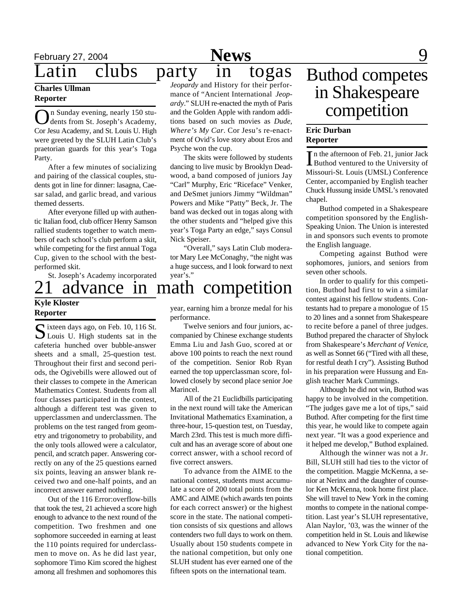## February 27, 2004 **News** 9

#### **Charles Ullman Reporter**

On Sunday evening, nearly 150 stu-<br>dents from St. Joseph's Academy, n Sunday evening, nearly 150 stu-Cor Jesu Academy, and St. Louis U. High were greeted by the SLUH Latin Club's praetorian guards for this year's Toga Party.

After a few minutes of socializing and pairing of the classical couples, students got in line for dinner: lasagna, Caesar salad, and garlic bread, and various themed desserts.

After everyone filled up with authentic Italian food, club officer Henry Samson rallied students together to watch members of each school's club perform a skit, while competing for the first annual Toga Cup, given to the school with the bestperformed skit.

St. Joseph's Academy incorporated

### **Kyle Kloster Reporter**

Sixteen days ago, on Feb. 10, 116 St.<br>
Solutions U. High students sat in the Louis U. High students sat in the cafeteria hunched over bubble-answer sheets and a small, 25-question test. Throughout their first and second periods, the Ogivebills were allowed out of their classes to compete in the American Mathematics Contest. Students from all four classes participated in the contest, although a different test was given to upperclassmen and underclassmen. The problems on the test ranged from geometry and trigonometry to probability, and the only tools allowed were a calculator, pencil, and scratch paper. Answering correctly on any of the 25 questions earned six points, leaving an answer blank received two and one-half points, and an incorrect answer earned nothing.

Out of the 116 Error:overflow-bills that took the test, 21 achieved a score high enough to advance to the next round of the competition. Two freshmen and one sophomore succeeded in earning at least the 110 points required for underclassmen to move on. As he did last year, sophomore Timo Kim scored the highest among all freshmen and sophomores this

*Jeopardy* and History for their performance of "Ancient International *Jeopardy*." SLUH re-enacted the myth of Paris and the Golden Apple with random additions based on such movies as *Dude, Where's My Car*. Cor Jesu's re-enactment of Ovid's love story about Eros and Psyche won the cup.

The skits were followed by students dancing to live music by Brooklyn Deadwood, a band composed of juniors Jay "Carl" Murphy, Eric "Riceface" Venker, and DeSmet juniors Jimmy "Wildman" Powers and Mike "Patty" Beck, Jr. The band was decked out in togas along with the other students and "helped give this year's Toga Party an edge," says Consul Nick Speiser.

"Overall," says Latin Club moderator Mary Lee McConaghy, "the night was a huge success, and I look forward to next year's."

## Buthod competes in Shakespeare competition

#### **Eric Durban Reporter**

In the afternoon of Feb. 21, junior Jack<br>Buthod ventured to the University of Buthod ventured to the University of Missouri-St. Louis (UMSL) Conference Center, accompanied by English teacher Chuck Hussung inside UMSL's renovated chapel.

Buthod competed in a Shakespeare competition sponsored by the English-Speaking Union. The Union is interested in and sponsors such events to promote the English language.

Competing against Buthod were sophomores, juniors, and seniors from seven other schools.

In order to qualify for this competition, Buthod had first to win a similar contest against his fellow students. Contestants had to prepare a monologue of 15 to 20 lines and a sonnet from Shakespeare to recite before a panel of three judges. Buthod prepared the character of Shylock from Shakespeare's *Merchant of Venice*, as well as Sonnet 66 ("Tired with all these, for restful death I cry"). Assisting Buthod in his preparation were Hussung and English teacher Mark Cummings.

Although he did not win, Buthod was happy to be involved in the competition. "The judges gave me a lot of tips," said Buthod. After competing for the first time this year, he would like to compete again next year. "It was a good experience and it helped me develop," Buthod explained.

Although the winner was not a Jr. Bill, SLUH still had ties to the victor of the competition. Maggie McKenna, a senior at Nerinx and the daughter of counselor Ken McKenna, took home first place. She will travel to New York in the coming months to compete in the national competition. Last year's SLUH representative, Alan Naylor, '03, was the winner of the competition held in St. Louis and likewise advanced to New York City for the national competition.

## advance in math competition

year, earning him a bronze medal for his performance.

Twelve seniors and four juniors, accompanied by Chinese exchange students Emma Liu and Jash Guo, scored at or above 100 points to reach the next round of the competition. Senior Rob Ryan earned the top upperclassman score, followed closely by second place senior Joe Marincel.

All of the 21 Euclidbills participating in the next round will take the American Invitational Mathematics Examination, a three-hour, 15-question test, on Tuesday, March 23rd. This test is much more difficult and has an average score of about one correct answer, with a school record of five correct answers.

To advance from the AIME to the national contest, students must accumulate a score of 200 total points from the AMC and AIME (which awards ten points for each correct answer) or the highest score in the state. The national competition consists of six questions and allows contenders two full days to work on them. Usually about 150 students compete in the national competition, but only one SLUH student has ever earned one of the fifteen spots on the international team.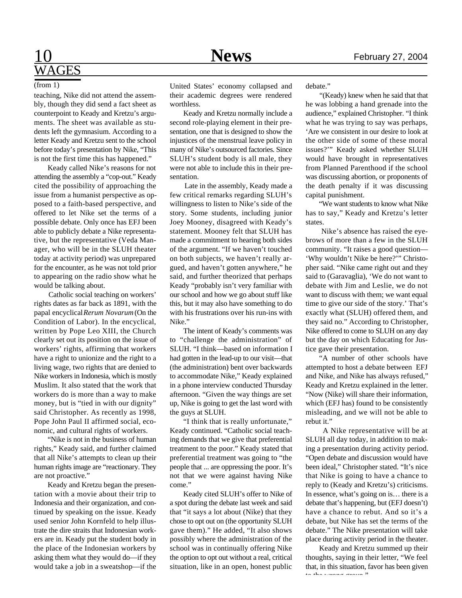## 10 **News** February 27, 2004 WAGES

#### (from 1)

teaching, Nike did not attend the assembly, though they did send a fact sheet as counterpoint to Keady and Kretzu's arguments. The sheet was available as students left the gymnasium. According to a letter Keady and Kretzu sent to the school before today's presentation by Nike, "This is not the first time this has happened."

Keady called Nike's reasons for not attending the assembly a "cop-out." Keady cited the possibility of approaching the issue from a humanist perspective as opposed to a faith-based perspective, and offered to let Nike set the terms of a possible debate. Only once has EFJ been able to publicly debate a Nike representative, but the representative (Veda Manager, who will be in the SLUH theater today at activity period) was unprepared for the encounter, as he was not told prior to appearing on the radio show what he would be talking about.

 Catholic social teaching on workers' rights dates as far back as 1891, with the papal encyclical *Rerum Novarum* (On the Condition of Labor). In the encyclical, written by Pope Leo XIII, the Church clearly set out its position on the issue of workers' rights, affirming that workers have a right to unionize and the right to a living wage, two rights that are denied to Nike workers in Indonesia, which is mostly Muslim. It also stated that the work that workers do is more than a way to make money, but is "tied in with our dignity" said Christopher. As recently as 1998, Pope John Paul II affirmed social, economic, and cultural rights of workers.

"Nike is not in the business of human rights," Keady said, and further claimed that all Nike's attempts to clean up their human rights image are "reactionary. They are not proactive."

Keady and Kretzu began the presentation with a movie about their trip to Indonesia and their organization, and continued by speaking on the issue. Keady used senior John Kornfeld to help illustrate the dire straits that Indonesian workers are in. Keady put the student body in the place of the Indonesian workers by asking them what they would do—if they would take a job in a sweatshop—if the United States' economy collapsed and their academic degrees were rendered worthless.

Keady and Kretzu normally include a second role-playing element in their presentation, one that is designed to show the injustices of the menstrual leave policy in many of Nike's outsourced factories. Since SLUH's student body is all male, they were not able to include this in their presentation.

 Late in the assembly, Keady made a few critical remarks regarding SLUH's willingness to listen to Nike's side of the story. Some students, including junior Joey Mooney, disagreed with Keady's statement. Mooney felt that SLUH has made a commitment to hearing both sides of the argument. "If we haven't touched on both subjects, we haven't really argued, and haven't gotten anywhere," he said, and further theorized that perhaps Keady "probably isn't very familiar with our school and how we go about stuff like this, but it may also have something to do with his frustrations over his run-ins with Nike."

The intent of Keady's comments was to "challenge the administration" of SLUH. "I think—based on information I had gotten in the lead-up to our visit—that (the administration) bent over backwards to accommodate Nike," Keady explained in a phone interview conducted Thursday afternoon. "Given the way things are set up, Nike is going to get the last word with the guys at SLUH.

"I think that is really unfortunate," Keady continued. "Catholic social teaching demands that we give that preferential treatment to the poor." Keady stated that preferential treatment was going to "the people that ... are oppressing the poor. It's not that we were against having Nike come."

Keady cited SLUH's offer to Nike of a spot during the debate last week and said that "it says a lot about (Nike) that they chose to opt out on (the opportunity SLUH gave them)." He added, "It also shows possibly where the administration of the school was in continually offering Nike the option to opt out without a real, critical situation, like in an open, honest public

debate."

 "(Keady) knew when he said that that he was lobbing a hand grenade into the audience," explained Christopher. "I think what he was trying to say was perhaps, 'Are we consistent in our desire to look at the other side of some of these moral issues?'" Keady asked whether SLUH would have brought in representatives from Planned Parenthood if the school was discussing abortion, or proponents of the death penalty if it was discussing capital punishment.

 "We want students to know what Nike has to say," Keady and Kretzu's letter states.

 Nike's absence has raised the eyebrows of more than a few in the SLUH community. "It raises a good question— 'Why wouldn't Nike be here?'" Christopher said. "Nike came right out and they said to (Garavaglia), 'We do not want to debate with Jim and Leslie, we do not want to discuss with them; we want equal time to give our side of the story.' That's exactly what (SLUH) offered them, and they said no." According to Christopher, Nike offered to come to SLUH on any day but the day on which Educating for Justice gave their presentation.

"A number of other schools have attempted to host a debate between EFJ and Nike, and Nike has always refused," Keady and Kretzu explained in the letter. "Now (Nike) will share their information, which (EFJ has) found to be consistently misleading, and we will not be able to rebut it."

 A Nike representative will be at SLUH all day today, in addition to making a presentation during activity period. "Open debate and discussion would have been ideal," Christopher stated. "It's nice that Nike is going to have a chance to reply to (Keady and Kretzu's) criticisms. In essence, what's going on is… there is a debate that's happening, but (EFJ doesn't) have a chance to rebut. And so it's a debate, but Nike has set the terms of the debate." The Nike presentation will take place during activity period in the theater.

Keady and Kretzu summed up their thoughts, saying in their letter, "We feel that, in this situation, favor has been given to the compact group."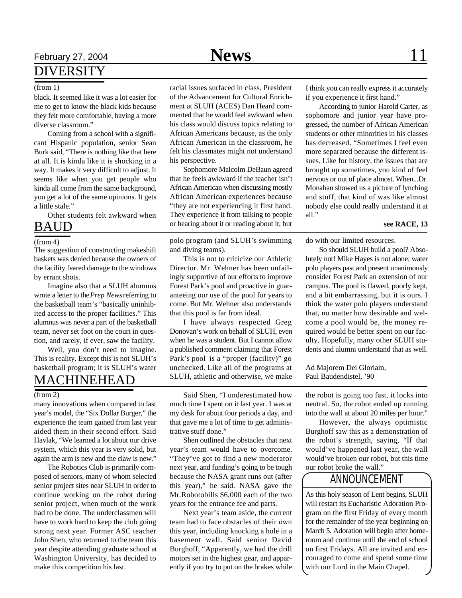### February 27, 2004 **News** 11 DIVERSITY

#### (from 1)

black. It seemed like it was a lot easier for me to get to know the black kids because they felt more comfortable, having a more diverse classroom."

Coming from a school with a significant Hispanic population, senior Sean Burk said, "There is nothing like that here at all. It is kinda like it is shocking in a way. It makes it very difficult to adjust. It seems like when you get people who kinda all come from the same background, you get a lot of the same opinions. It gets a little stale."

Other students felt awkward when

### BAUD

#### (from 4)

The suggestion of constructing makeshift baskets was denied because the owners of the facility feared damage to the windows by errant shots.

Imagine also that a SLUH alumnus wrote a letter to the *Prep News* referring to the basketball team's "basically uninhibited access to the proper facilities." This alumnus was never a part of the basketball team, never set foot on the court in question, and rarely, if ever, saw the facility.

Well, you don't need to imagine. This is reality. Except this is not SLUH's basketball program; it is SLUH's water

### MACHINEHEAD

#### $(from 2)$

many innovations when compared to last year's model, the "Six Dollar Burger," the experience the team gained from last year aided them in their second effort. Said Havlak, "We learned a lot about our drive system, which this year is very solid, but again the arm is new and the claw is new."

The Robotics Club is primarily composed of seniors, many of whom selected senior project sites near SLUH in order to continue working on the robot during senior project, when much of the work had to be done. The underclassmen will have to work hard to keep the club going strong next year. Former ASC teacher John Shen, who returned to the team this year despite attending graduate school at Washington University, has decided to make this competition his last.

racial issues surfaced in class. President of the Advancement for Cultural Enrichment at SLUH (ACES) Dan Heard commented that he would feel awkward when his class would discuss topics relating to African Americans because, as the only African American in the classroom, he felt his classmates might not understand his perspective.

Sophomore Malcolm DeBaun agreed that he feels awkward if the teacher isn't African American when discussing mostly African American experiences because "they are not experiencing it first hand. They experience it from talking to people or hearing about it or reading about it, but

polo program (and SLUH's swimming and diving teams).

This is not to criticize our Athletic Director. Mr. Wehner has been unfailingly supportive of our efforts to improve Forest Park's pool and proactive in guaranteeing our use of the pool for years to come. But Mr. Wehner also understands that this pool is far from ideal.

I have always respected Greg Donovan's work on behalf of SLUH, even when he was a student. But I cannot allow a published comment claiming that Forest Park's pool is a "proper (facility)" go unchecked. Like all of the programs at SLUH, athletic and otherwise, we make

Said Shen, "I underestimated how much time I spent on it last year. I was at my desk for about four periods a day, and that gave me a lot of time to get administrative stuff done."

Shen outlined the obstacles that next year's team would have to overcome. "They've got to find a new moderator next year, and funding's going to be tough because the NASA grant runs out (after this year)," he said. NASA gave the Mr.Robotobills \$6,000 each of the two years for the entrance fee and parts.

Next year's team aside, the current team had to face obstacles of their own this year, including knocking a hole in a basement wall. Said senior David Burghoff, "Apparently, we had the drill motors set in the highest gear, and apparently if you try to put on the brakes while

I think you can really express it accurately if you experience it first hand."

According to junior Harold Carter, as sophomore and junior year have progressed, the number of African American students or other minorities in his classes has decreased. "Sometimes I feel even more separated because the different issues. Like for history, the issues that are brought up sometimes, you kind of feel nervous or out of place almost. When...Dr. Monahan showed us a picture of lynching and stuff, that kind of was like almost nobody else could really understand it at all."

#### **see RACE, 13**

do with our limited resources.

So should SLUH build a pool? Absolutely not! Mike Hayes is not alone; water polo players past and present unanimously consider Forest Park an extension of our campus. The pool is flawed, poorly kept, and a bit embarrassing, but it is ours. I think the water polo players understand that, no matter how desirable and welcome a pool would be, the money required would be better spent on our faculty. Hopefully, many other SLUH students and alumni understand that as well.

Ad Majorem Dei Gloriam, Paul Baudendistel, '90

the robot is going too fast, it locks into neutral. So, the robot ended up running into the wall at about 20 miles per hour."

However, the always optimistic Burghoff saw this as a demonstration of the robot's strength, saying, "If that would've happened last year, the wall would've broken our robot, but this time our robot broke the wall."

### ANNOUNCEMENT

As this holy season of Lent begins, SLUH will restart its Eucharistic Adoration Program on the first Friday of every month for the remainder of the year beginning on March 5. Adoration will begin after homeroom and continue until the end of school on first Fridays. All are invited and encouraged to come and spend some time with our Lord in the Main Chapel.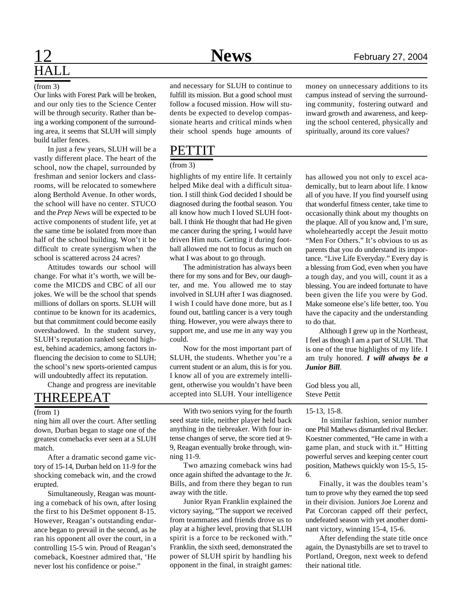# HALL

#### (from 3)

Our links with Forest Park will be broken, and our only ties to the Science Center will be through security. Rather than being a working component of the surrounding area, it seems that SLUH will simply build taller fences.

In just a few years, SLUH will be a vastly different place. The heart of the school, now the chapel, surrounded by freshman and senior lockers and classrooms, will be relocated to somewhere along Berthold Avenue. In other words, the school will have no center. STUCO and the *Prep News* will be expected to be active components of student life, yet at the same time be isolated from more than half of the school building. Won't it be difficult to create synergism when the school is scattered across 24 acres?

Attitudes towards our school will change. For what it's worth, we will become the MICDS and CBC of all our jokes. We will be the school that spends millions of dollars on sports. SLUH will continue to be known for its academics, but that commitment could become easily overshadowed. In the student survey, SLUH's reputation ranked second highest, behind academics, among factors influencing the decision to come to SLUH; the school's new sports-oriented campus will undoubtedly affect its reputation.

Change and progress are inevitable

#### (from 1)

ning him all over the court. After settling down, Durban began to stage one of the greatest comebacks ever seen at a SLUH match.

After a dramatic second game victory of 15-14, Durban held on 11-9 for the shocking comeback win, and the crowd erupted.

Simultaneously, Reagan was mounting a comeback of his own, after losing the first to his DeSmet opponent 8-15. However, Reagan's outstanding endurance began to prevail in the second, as he ran his opponent all over the court, in a controlling 15-5 win. Proud of Reagan's comeback, Koestner admired that, 'He never lost his confidence or poise."

and necessary for SLUH to continue to fulfill its mission. But a good school must follow a focused mission. How will students be expected to develop compassionate hearts and critical minds when their school spends huge amounts of

### **PETTIT**

#### (from 3)

highlights of my entire life. It certainly helped Mike deal with a difficult situation. I still think God decided I should be diagnosed during the footbal season. You all know how much I loved SLUH football. I think He thought that had He given me cancer during the spring, I would have driven Him nuts. Getting it during football allowed me not to focus as much on what I was about to go through.

The administration has always been there for my sons and for Bev, our daughter, and me. You allowed me to stay involved in SLUH after I was diagnosed. I wish I could have done more, but as I found out, battling cancer is a very tough thing. However, you were always there to support me, and use me in any way you could.

Now for the most important part of SLUH, the students. Whether you're a current student or an alum, this is for you. I know all of you are extremely intelligent, otherwise you wouldn't have been accepted into SLUH. Your intelligence THREEPEAT accepted into SLUH. Your intelligence Steve Pettit

> With two seniors vying for the fourth seed state title, neither player held back anything in the tiebreaker. With four intense changes of serve, the score tied at 9- 9, Reagan eventually broke through, winning 11-9.

> Two amazing comeback wins had once again shifted the advantage to the Jr. Bills, and from there they began to run away with the title.

> Junior Ryan Franklin explained the victory saying, "The support we received from teammates and friends drove us to play at a higher level, proving that SLUH spirit is a force to be reckoned with." Franklin, the sixth seed, demonstrated the power of SLUH spirit by handling his opponent in the final, in straight games:

money on unnecessary additions to its campus instead of serving the surrounding community, fostering outward and inward growth and awareness, and keeping the school centered, physically and spiritually, around its core values?

has allowed you not only to excel academically, but to learn about life. I know all of you have. If you find yourself using that wonderful fitness center, take time to occasionally think about my thoughts on the plaque. All of you know and, I'm sure, wholeheartedly accept the Jesuit motto "Men For Others." It's obvious to us as parents that you do understand its importance. "Live Life Everyday." Every day is a blessing from God, even when you have a tough day, and you will, count it as a blessing. You are indeed fortunate to have been given the life you were by God. Make someone else's life better, too. You have the capacity and the understanding to do that.

Although I grew up in the Northeast, I feel as though I am a part of SLUH. That is one of the true highlights of my life. I am truly honored. *I will always be a Junior Bill*.

God bless you all,

#### 15-13, 15-8.

 In similar fashion, senior number one Phil Mathews dismantled rival Becker. Koestner commented, "He came in with a game plan, and stuck with it." Hitting powerful serves and keeping center court position, Mathews quickly won 15-5, 15- 6.

Finally, it was the doubles team's turn to prove why they earned the top seed in their division. Juniors Joe Lorenz and Pat Corcoran capped off their perfect, undefeated season with yet another dominant victory, winning 15-4, 15-6.

After defending the state title once again, the Dynastybills are set to travel to Portland, Oregon, next week to defend their national title.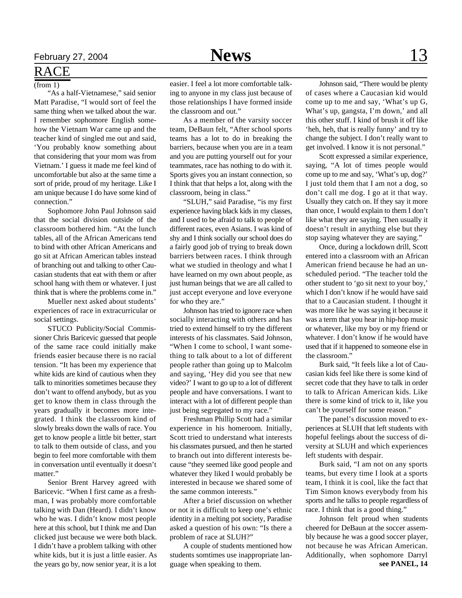### RACE

 $(from 1)$ 

"As a half-Vietnamese," said senior Matt Paradise, "I would sort of feel the same thing when we talked about the war. I remember sophomore English somehow the Vietnam War came up and the teacher kind of singled me out and said, 'You probably know something about that considering that your mom was from Vietnam.' I guess it made me feel kind of uncomfortable but also at the same time a sort of pride, proud of my heritage. Like I am unique because I do have some kind of connection."

Sophomore John Paul Johnson said that the social division outside of the classroom bothered him. "At the lunch tables, all of the African Americans tend to bind with other African Americans and go sit at African American tables instead of branching out and talking to other Caucasian students that eat with them or after school hang with them or whatever. I just think that is where the problems come in."

Mueller next asked about students' experiences of race in extracurricular or social settings.

STUCO Publicity/Social Commissioner Chris Baricevic guessed that people of the same race could initially make friends easier because there is no racial tension. "It has been my experience that white kids are kind of cautious when they talk to minorities sometimes because they don't want to offend anybody, but as you get to know them in class through the years gradually it becomes more integrated. I think the classroom kind of slowly breaks down the walls of race. You get to know people a little bit better, start to talk to them outside of class, and you begin to feel more comfortable with them in conversation until eventually it doesn't matter."

Senior Brent Harvey agreed with Baricevic. "When I first came as a freshman, I was probably more comfortable talking with Dan (Heard). I didn't know who he was. I didn't know most people here at this school, but I think me and Dan clicked just because we were both black. I didn't have a problem talking with other white kids, but it is just a little easier. As the years go by, now senior year, it is a lot

easier. I feel a lot more comfortable talking to anyone in my class just because of those relationships I have formed inside the classroom and out."

As a member of the varsity soccer team, DeBaun felt, "After school sports teams has a lot to do in breaking the barriers, because when you are in a team and you are putting yourself out for your teammates, race has nothing to do with it. Sports gives you an instant connection, so I think that that helps a lot, along with the classroom, being in class."

"SLUH," said Paradise, "is my first experience having black kids in my classes, and I used to be afraid to talk to people of different races, even Asians. I was kind of shy and I think socially our school does do a fairly good job of trying to break down barriers between races. I think through what we studied in theology and what I have learned on my own about people, as just human beings that we are all called to just accept everyone and love everyone for who they are."

Johnson has tried to ignore race when socially interacting with others and has tried to extend himself to try the different interests of his classmates. Said Johnson, "When I come to school, I want something to talk about to a lot of different people rather than going up to Malcolm and saying, 'Hey did you see that new video?' I want to go up to a lot of different people and have conversations. I want to interact with a lot of different people than just being segregated to my race."

Freshman Phillip Scott had a similar experience in his homeroom. Initially, Scott tried to understand what interests his classmates pursued, and then he started to branch out into different interests because "they seemed like good people and whatever they liked I would probably be interested in because we shared some of the same common interests."

After a brief discussion on whether or not it is difficult to keep one's ethnic identity in a melting pot society, Paradise asked a question of his own: "Is there a problem of race at SLUH?"

A couple of students mentioned how students somtimes use inappropriate language when speaking to them.

Johnson said, "There would be plenty of cases where a Caucasian kid would come up to me and say, 'What's up G, What's up, gangsta, I'm down,' and all this other stuff. I kind of brush it off like 'heh, heh, that is really funny' and try to change the subject. I don't really want to get involved. I know it is not personal."

Scott expressed a similar experience, saying, "A lot of times people would come up to me and say, 'What's up, dog?' I just told them that I am not a dog, so don't call me dog. I go at it that way. Usually they catch on. If they say it more than once, I would explain to them I don't like what they are saying. Then usually it doesn't result in anything else but they stop saying whatever they are saying."

Once, during a lockdown drill, Scott entered into a classroom with an African American friend because he had an unscheduled period. "The teacher told the other student to 'go sit next to your boy,' which I don't know if he would have said that to a Caucasian student. I thought it was more like he was saying it because it was a term that you hear in hip-hop music or whatever, like my boy or my friend or whatever. I don't know if he would have used that if it happened to someone else in the classroom."

Burk said, "It feels like a lot of Caucasian kids feel like there is some kind of secret code that they have to talk in order to talk to African American kids. Like there is some kind of trick to it, like you can't be yourself for some reason."

The panel's discussion moved to experiences at SLUH that left students with hopeful feelings about the success of diversity at SLUH and which experiences left students with despair.

Burk said, "I am not on any sports teams, but every time I look at a sports team, I think it is cool, like the fact that Tim Simon knows everybody from his sports and he talks to people regardless of race. I think that is a good thing."

Johnson felt proud when students cheered for DeBaun at the soccer assembly because he was a good soccer player, not because he was African American. Additionally, when sophomore Darryl **see PANEL, 14**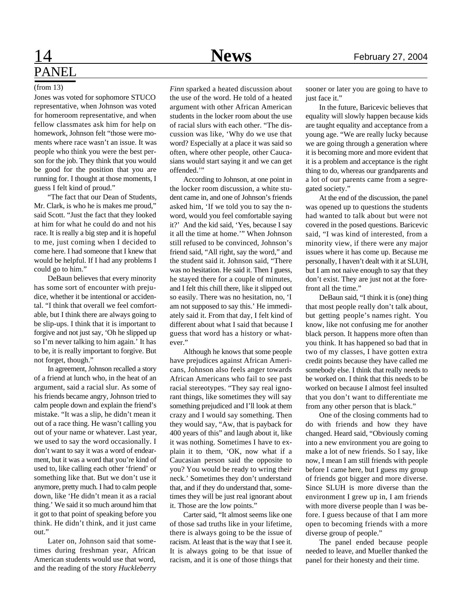## 14 **News** February 27, 2004 PANEL

#### (from 13)

Jones was voted for sophomore STUCO representative, when Johnson was voted for homeroom representative, and when fellow classmates ask him for help on homework, Johnson felt "those were moments where race wasn't an issue. It was people who think you were the best person for the job. They think that you would be good for the position that you are running for. I thought at those moments, I guess I felt kind of proud."

"The fact that our Dean of Students, Mr. Clark, is who he is makes me proud," said Scott. "Just the fact that they looked at him for what he could do and not his race. It is really a big step and it is hopeful to me, just coming when I decided to come here. I had someone that I knew that would be helpful. If I had any problems I could go to him."

DeBaun believes that every minority has some sort of encounter with prejudice, whether it be intentional or accidental. "I think that overall we feel comfortable, but I think there are always going to be slip-ups. I think that it is important to forgive and not just say, 'Oh he slipped up so I'm never talking to him again.' It has to be, it is really important to forgive. But not forget, though."

In agreement, Johnson recalled a story of a friend at lunch who, in the heat of an argument, said a racial slur. As some of his friends became angry, Johnson tried to calm people down and explain the friend's mistake. "It was a slip, he didn't mean it out of a race thing. He wasn't calling you out of your name or whatever. Last year, we used to say the word occasionally. I don't want to say it was a word of endearment, but it was a word that you're kind of used to, like calling each other 'friend' or something like that. But we don't use it anymore, pretty much. I had to calm people down, like 'He didn't mean it as a racial thing.' We said it so much around him that it got to that point of speaking before you think. He didn't think, and it just came out."

Later on, Johnson said that sometimes during freshman year, African American students would use that word, and the reading of the story *Huckleberry* *Finn* sparked a heated discussion about the use of the word. He told of a heated argument with other African American students in the locker room about the use of racial slurs with each other. "The discussion was like, 'Why do we use that word? Especially at a place it was said so often, where other people, other Caucasians would start saying it and we can get offended.'"

According to Johnson, at one point in the locker room discussion, a white student came in, and one of Johnson's friends asked him, 'If we told you to say the nword, would you feel comfortable saying it?' And the kid said, 'Yes, because I say it all the time at home.'" When Johnson still refused to be convinced, Johnson's friend said, "All right, say the word," and the student said it. Johnson said, "There was no hesitation. He said it. Then I guess, he stayed there for a couple of minutes, and I felt this chill there, like it slipped out so easily. There was no hesitation, no, 'I am not supposed to say this.' He immediately said it. From that day, I felt kind of different about what I said that because I guess that word has a history or whatever."

Although he knows that some people have prejudices against African Americans, Johnson also feels anger towards African Americans who fail to see past racial stereotypes. "They say real ignorant things, like sometimes they will say something prejudiced and I'll look at them crazy and I would say something. Then they would say, "Aw, that is payback for 400 years of this" and laugh about it, like it was nothing. Sometimes I have to explain it to them, 'OK, now what if a Caucasian person said the opposite to you? You would be ready to wring their neck.' Sometimes they don't understand that, and if they do understand that, sometimes they will be just real ignorant about it. Those are the low points."

Carter said, "It almost seems like one of those sad truths like in your lifetime, there is always going to be the issue of racism. At least that is the way that I see it. It is always going to be that issue of racism, and it is one of those things that

sooner or later you are going to have to just face it."

In the future, Baricevic believes that equality will slowly happen because kids are taught equality and acceptance from a young age. "We are really lucky because we are going through a generation where it is becoming more and more evident that it is a problem and acceptance is the right thing to do, whereas our grandparents and a lot of our parents came from a segregated society."

At the end of the discussion, the panel was opened up to questions the students had wanted to talk about but were not covered in the posed questions. Baricevic said, "I was kind of interested, from a minority view, if there were any major issues where it has come up. Because me personally, I haven't dealt with it at SLUH, but I am not naive enough to say that they don't exist. They are just not at the forefront all the time."

DeBaun said, "I think it is (one) thing that most people really don't talk about, but getting people's names right. You know, like not confusing me for another black person. It happens more often than you think. It has happened so bad that in two of my classes, I have gotten extra credit points because they have called me somebody else. I think that really needs to be worked on. I think that this needs to be worked on because I almost feel insulted that you don't want to differentiate me from any other person that is black."

One of the closing comments had to do with friends and how they have changed. Heard said, "Obviously coming into a new environment you are going to make a lot of new friends. So I say, like now, I mean I am still friends with people before I came here, but I guess my group of friends got bigger and more diverse. Since SLUH is more diverse than the environment I grew up in, I am friends with more diverse people than I was before. I guess because of that I am more open to becoming friends with a more diverse group of people."

The panel ended because people needed to leave, and Mueller thanked the panel for their honesty and their time.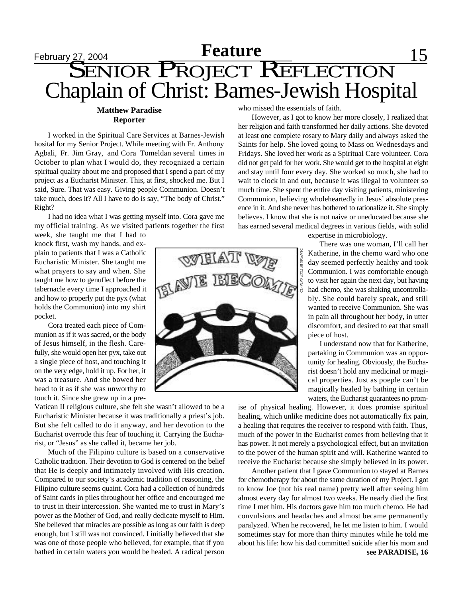## **February 27, 2004 Feature** 15 SENIOR PROJECT REFLECTION Chaplain of Christ: Barnes-Jewish Hospital

#### **Matthew Paradise Reporter**

I worked in the Spiritual Care Services at Barnes-Jewish hosital for my Senior Project. While meeting with Fr. Anthony Agbali, Fr. Jim Gray, and Cora Tomeldan several times in October to plan what I would do, they recognized a certain spiritual quality about me and proposed that I spend a part of my project as a Eucharist Minister. This, at first, shocked me. But I said, Sure. That was easy. Giving people Communion. Doesn't take much, does it? All I have to do is say, "The body of Christ." Right?

I had no idea what I was getting myself into. Cora gave me my official training. As we visited patients together the first

week, she taught me that I had to knock first, wash my hands, and explain to patients that I was a Catholic Eucharistic Minister. She taught me what prayers to say and when. She taught me how to genuflect before the tabernacle every time I approached it and how to properly put the pyx (what holds the Communion) into my shirt pocket.

Cora treated each piece of Communion as if it was sacred, or the body of Jesus himself, in the flesh. Carefully, she would open her pyx, take out a single piece of host, and touching it on the very edge, hold it up. For her, it was a treasure. And she bowed her head to it as if she was unworthy to touch it. Since she grew up in a pre-

Vatican II religious culture, she felt she wasn't allowed to be a Eucharistic Minister because it was traditionally a priest's job. But she felt called to do it anyway, and her devotion to the Eucharist overrode this fear of touching it. Carrying the Eucharist, or "Jesus" as she called it, became her job.

Much of the Filipino culture is based on a conservative Catholic tradition. Their devotion to God is centered on the belief that He is deeply and intimately involved with His creation. Compared to our society's academic tradition of reasoning, the Filipino culture seems quaint. Cora had a collection of hundreds of Saint cards in piles throughout her office and encouraged me to trust in their intercession. She wanted me to trust in Mary's power as the Mother of God, and really dedicate myself to Him. She believed that miracles are possible as long as our faith is deep enough, but I still was not convinced. I initially believed that she was one of those people who believed, for example, that if you bathed in certain waters you would be healed. A radical person

who missed the essentials of faith.

However, as I got to know her more closely, I realized that her religion and faith transformed her daily actions. She devoted at least one complete rosary to Mary daily and always asked the Saints for help. She loved going to Mass on Wednesdays and Fridays. She loved her work as a Spiritual Care volunteer. Cora did not get paid for her work. She would get to the hospital at eight and stay until four every day. She worked so much, she had to wait to clock in and out, because it was illegal to volunteer so much time. She spent the entire day visiting patients, ministering Communion, believing wholeheartedly in Jesus' absolute presence in it. And she never has bothered to rationalize it. She simply believes. I know that she is not naive or uneducated because she has earned several medical degrees in various fields, with solid

expertise in microbiology.

There was one woman, I'll call her Katherine, in the chemo ward who one day seemed perfectly healthy and took Communion. I was comfortable enough to visit her again the next day, but having had chemo, she was shaking uncontrollably. She could barely speak, and still wanted to receive Communion. She was in pain all throughout her body, in utter discomfort, and desired to eat that small piece of host.

I understand now that for Katherine, partaking in Communion was an opportunity for healing. Obviously, the Eucharist doesn't hold any medicinal or magical properties. Just as poeple can't be magically healed by bathing in certain waters, the Eucharist guarantees no prom-

ise of physical healing. However, it does promise spiritual healing, which unlike medicine does not automatically fix pain, a healing that requires the receiver to respond with faith. Thus, much of the power in the Eucharist comes from believing that it has power. It not merely a psychological effect, but an invitation to the power of the human spirit and will. Katherine wanted to receive the Eucharist because she simply believed in its power.

Another patient that I gave Communion to stayed at Barnes for chemotherapy for about the same duration of my Project. I got to know Joe (not his real name) pretty well after seeing him almost every day for almost two weeks. He nearly died the first time I met him. His doctors gave him too much chemo. He had convulsions and headaches and almost became permanently paralyzed. When he recovered, he let me listen to him. I would sometimes stay for more than thirty minutes while he told me about his life: how his dad committed suicide after his mom and **see PARADISE, 16**